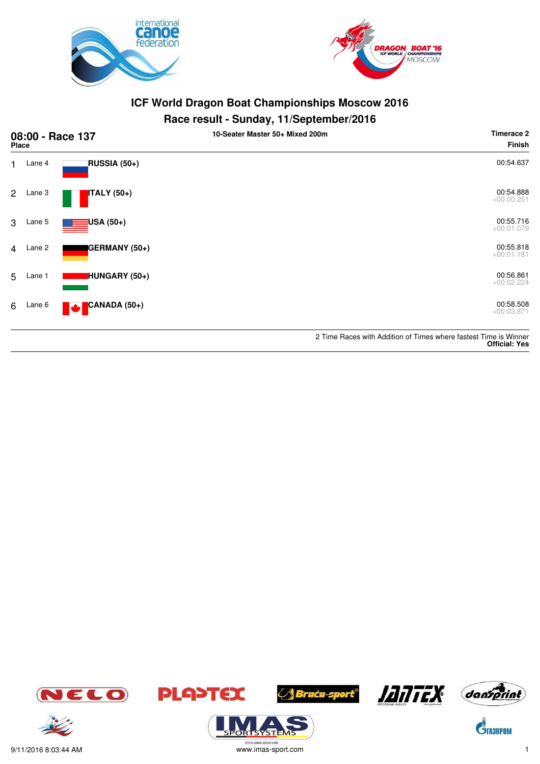



#### **Race result - Sunday, 11/September/2016**

| 08:00 - Race 137<br><b>Place</b> |        |                                       | - -<br>10-Seater Master 50+ Mixed 200m | <b>Timerace 2</b><br>Finish                                      |
|----------------------------------|--------|---------------------------------------|----------------------------------------|------------------------------------------------------------------|
| $\blacksquare$                   | Lane 4 | RUSSIA (50+)                          |                                        | 00:54.637                                                        |
| 2                                | Lane 3 | ITALY (50+)                           |                                        | 00:54.888<br>$+00:00.251$                                        |
| 3                                | Lane 5 | <mark>:</mark> USA (50+)              |                                        | 00:55.716<br>$+00:01.079$                                        |
| $\overline{4}$                   | Lane 2 | GERMANY (50+)                         |                                        | 00:55.818<br>$+00:01.181$                                        |
| 5                                | Lane 1 | HUNGARY (50+)                         |                                        | 00:56.861<br>$+00:02.224$                                        |
| 6                                | Lane 6 | CANADA (50+)<br>$\blacktriangleright$ |                                        | 00:58.508<br>$+00:03.871$                                        |
|                                  |        |                                       |                                        | 2 Time Races with Addition of Times where fastest Time is Winner |

**Official: Yes**













**PLA>TEX** 



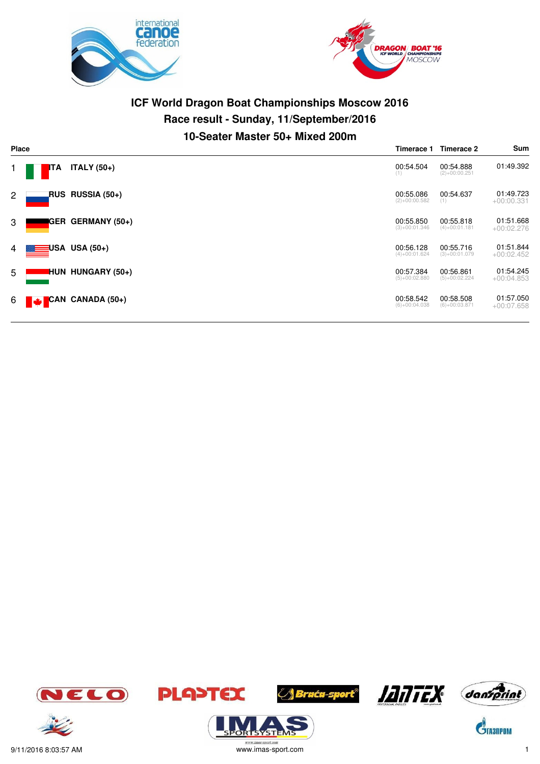



# **ICF World Dragon Boat Championships Moscow 2016 Race result - Sunday, 11/September/2016 10-Seater Master 50+ Mixed 200m**

| <b>Place</b> |     |                                                                 |                              | Timerace 2                   | Sum                       |
|--------------|-----|-----------------------------------------------------------------|------------------------------|------------------------------|---------------------------|
|              | ITA | ITALY $(50+)$                                                   | 00:54.504<br>(1)             | 00:54.888<br>$(2)+00:00.251$ | 01:49.392                 |
| $\mathbf{2}$ |     | RUS RUSSIA (50+)                                                | 00:55.086<br>$(2)+00:00.582$ | 00:54.637<br>(1)             | 01:49.723<br>$+00:00.331$ |
| 3            |     | <b>GER GERMANY (50+)</b>                                        | 00:55.850<br>$(3)+00:01.346$ | 00:55.818<br>$(4)+00:01.181$ | 01:51.668<br>$+00:02.276$ |
| 4            |     | USA USA (50+)                                                   | 00:56.128<br>$(4)+00:01.624$ | 00:55.716<br>$(3)+00:01.079$ | 01:51.844<br>$+00:02.452$ |
| 5            |     | <b>HUN HUNGARY (50+)</b>                                        | 00:57.384<br>$(5)+00:02.880$ | 00:56.861<br>$(5)+00:02.224$ | 01:54.245<br>$+00:04.853$ |
| 6            |     | $\begin{bmatrix} 1 & 0 \\ 0 & 1 \end{bmatrix}$ CAN CANADA (50+) | 00:58.542<br>$(6)+00:04.038$ | 00:58.508<br>$(6)+00:03.871$ | 01:57.050<br>$+00:07.658$ |

















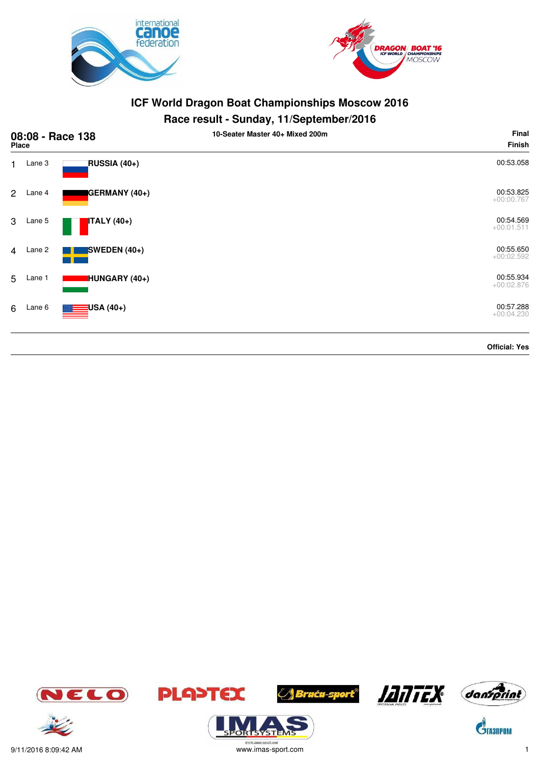



## **Race result - Sunday, 11/September/2016**

| 08:08 - Race 138<br>Place |        |                                | 10-Seater Master 40+ Mixed 200m | Final<br><b>Finish</b>    |
|---------------------------|--------|--------------------------------|---------------------------------|---------------------------|
| 1.                        | Lane 3 | RUSSIA (40+)                   |                                 | 00:53.058                 |
| $\mathbf{2}$              | Lane 4 | GERMANY (40+)                  |                                 | 00:53.825<br>$+00:00.767$ |
| 3                         | Lane 5 | <b>ITALY</b> (40+)             |                                 | 00:54.569<br>$+00:01.511$ |
| $\overline{4}$            | Lane 2 | SWEDEN $(40+)$                 |                                 | 00:55.650<br>$+00:02.592$ |
| 5                         | Lane 1 | HUNGARY (40+)                  |                                 | 00:55.934<br>$+00:02.876$ |
| 6                         | Lane 6 | <mark>:</mark> USA (40+)<br>▓▆ |                                 | 00:57.288<br>$+00:04.230$ |
|                           |        |                                |                                 | <b>Official: Yes</b>      |











 $\mathbf{\hat{S}}$ TA3NPOM



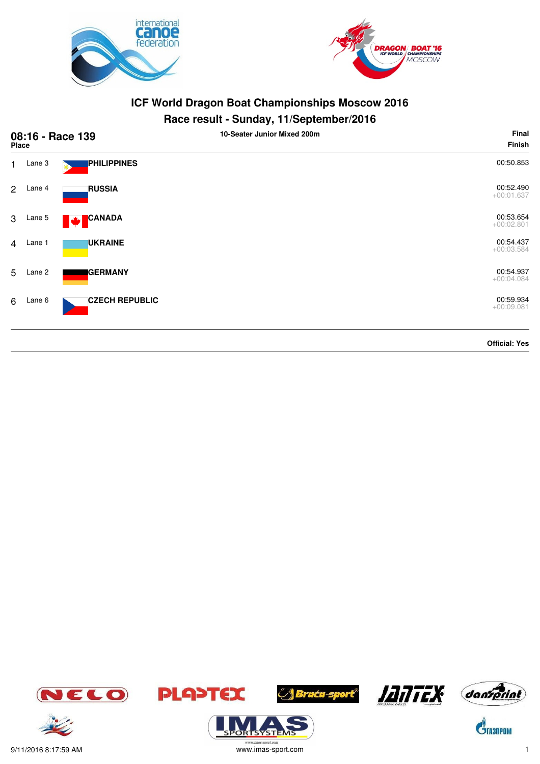



#### **Race result - Sunday, 11/September/2016**

|                | 08:16 - Race 139<br><b>Place</b> |                       | . .<br>10-Seater Junior Mixed 200m | Final<br><b>Finish</b>    |
|----------------|----------------------------------|-----------------------|------------------------------------|---------------------------|
| $\mathbf{1}$   | Lane 3                           | PHILIPPINES           |                                    | 00:50.853                 |
| 2              | Lane 4                           | <b>RUSSIA</b>         |                                    | 00:52.490<br>$+00:01.637$ |
| 3              | Lane 5                           | CANADA<br>M           |                                    | 00:53.654<br>$+00:02.801$ |
| $\overline{4}$ | Lane 1                           | <b>UKRAINE</b>        |                                    | 00:54.437<br>$+00:03.584$ |
| 5              | Lane 2                           | <b>GERMANY</b>        |                                    | 00:54.937<br>$+00:04.084$ |
| 6              | Lane 6                           | <b>CZECH REPUBLIC</b> |                                    | 00:59.934<br>$+00:09.081$ |
|                |                                  |                       |                                    | --------                  |

**Official: Yes**













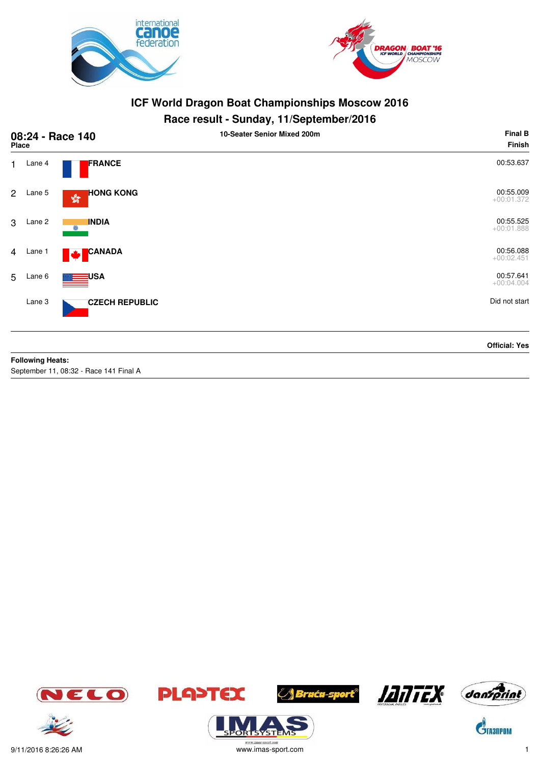



# **Race result - Sunday, 11/September/2016**

| 08:24 - Race 140<br><b>Place</b> |        |                                                   | 10-Seater Senior Mixed 200m | <b>Final B</b><br><b>Finish</b> |
|----------------------------------|--------|---------------------------------------------------|-----------------------------|---------------------------------|
| $\mathbf{1}$                     | Lane 4 | FRANCE                                            |                             | 00:53.637                       |
| $\overline{2}$                   | Lane 5 | <b>HONG KONG</b><br>$\mathbb{S}^{\mathbb{S}^n}_0$ |                             | 00:55.009<br>$+00:01.372$       |
| 3                                | Lane 2 | <b>INDIA</b><br>$\odot$                           |                             | 00:55.525<br>$+00:01.888$       |
| $\overline{4}$                   | Lane 1 | <b>CANADA</b><br><b>Maria</b>                     |                             | 00:56.088<br>$+00:02.451$       |
| 5                                | Lane 6 | <mark>∃</mark> USA                                |                             | 00:57.641<br>$+00:04.004$       |
|                                  | Lane 3 | <b>CZECH REPUBLIC</b>                             |                             | Did not start                   |
|                                  |        |                                                   |                             | <b>Official: Yes</b>            |

#### **Following Heats:**

September 11, 08:32 - Race 141 Final A











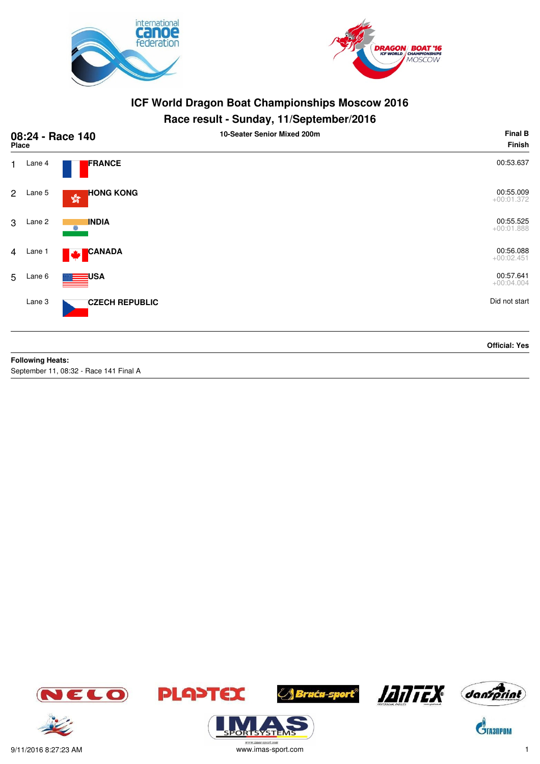



#### **Race result - Sunday, 11/September/2016**

| 08:24 - Race 140<br><b>Place</b> |        |                                                   | 10-Seater Senior Mixed 200m | <b>Final B</b><br><b>Finish</b> |
|----------------------------------|--------|---------------------------------------------------|-----------------------------|---------------------------------|
| $\mathbf{1}$                     | Lane 4 | FRANCE                                            |                             | 00:53.637                       |
| $\overline{2}$                   | Lane 5 | <b>HONG KONG</b><br>$\mathbb{S}^{\mathbb{S}^n}_0$ |                             | 00:55.009<br>$+00:01.372$       |
| 3                                | Lane 2 | <b>INDIA</b><br>$\odot$                           |                             | 00:55.525<br>$+00:01.888$       |
| $\overline{4}$                   | Lane 1 | <b>CANADA</b><br><b>Maria</b>                     |                             | 00:56.088<br>$+00:02.451$       |
| 5                                | Lane 6 | <mark>∃</mark> USA                                |                             | 00:57.641<br>$+00:04.004$       |
|                                  | Lane 3 | <b>CZECH REPUBLIC</b>                             |                             | Did not start                   |
|                                  |        |                                                   |                             | <b>Official: Yes</b>            |

#### **Following Heats:**

September 11, 08:32 - Race 141 Final A













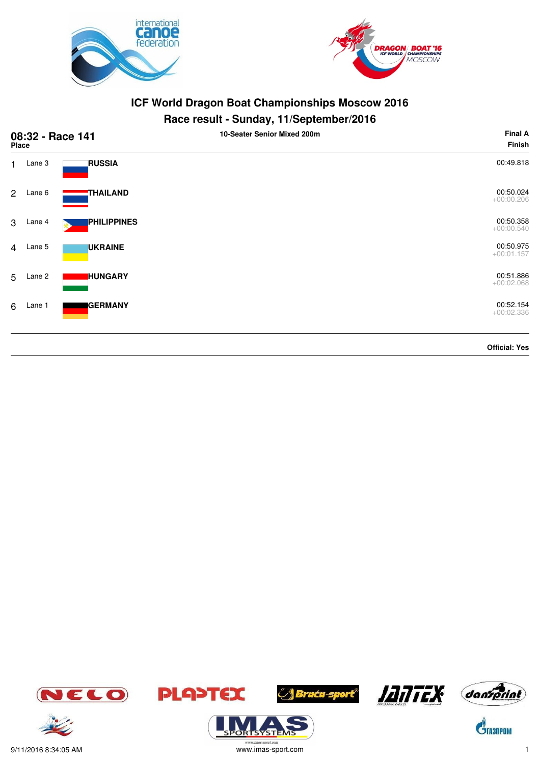



| 08:32 - Race 141<br>Place |        |                    | 10-Seater Senior Mixed 200m | <b>Final A</b><br><b>Finish</b> |
|---------------------------|--------|--------------------|-----------------------------|---------------------------------|
| $\mathbf{1}$              | Lane 3 | <b>RUSSIA</b>      |                             | 00:49.818                       |
| $\mathbf{2}$              | Lane 6 | THAILAND           |                             | 00:50.024<br>$+00:00.206$       |
| 3                         | Lane 4 | <b>PHILIPPINES</b> |                             | 00:50.358<br>$+00:00.540$       |
| $\overline{4}$            | Lane 5 | <b>UKRAINE</b>     |                             | 00:50.975<br>$+00:01.157$       |
| 5                         | Lane 2 | <b>HUNGARY</b>     |                             | 00:51.886<br>$+00:02.068$       |
| 6                         | Lane 1 | <b>GERMANY</b>     |                             | 00:52.154<br>$+00:02.336$       |
|                           |        |                    |                             | <b>Official: Yes</b>            |













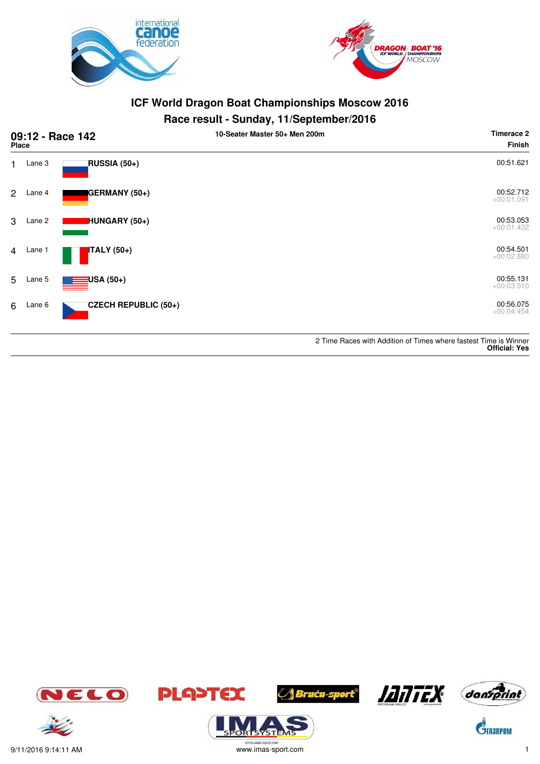



### **Race result - Sunday, 11/September/2016**

| 09:12 - Race 142<br><b>Place</b> |                          | 10-Seater Master 50+ Men 200m | <b>Timerace 2</b><br>Finish |
|----------------------------------|--------------------------|-------------------------------|-----------------------------|
| Lane 3<br>1.                     | RUSSIA (50+)             |                               | 00:51.621                   |
| $\overline{2}$<br>Lane 4         | GERMANY (50+)            |                               | 00:52.712<br>$+00:01.091$   |
| Lane 2<br>3                      | HUNGARY (50+)            |                               | 00:53.053<br>$+00:01.432$   |
| Lane 1<br>$\overline{4}$         | <b>ITALY</b> (50+)       |                               | 00:54.501<br>$+00:02.880$   |
| 5<br>Lane 5                      | <mark>∃</mark> USA (50+) |                               | 00:55.131<br>$+00:03.510$   |
| Lane 6<br>6                      | CZECH REPUBLIC (50+)     |                               | 00:56.075<br>$+00:04.454$   |
|                                  |                          |                               |                             |

2 Time Races with Addition of Times where fastest Time is Winner **Official: Yes**



 $\mathbf{C}^{\!\!\backslash\!}$  rasilpom













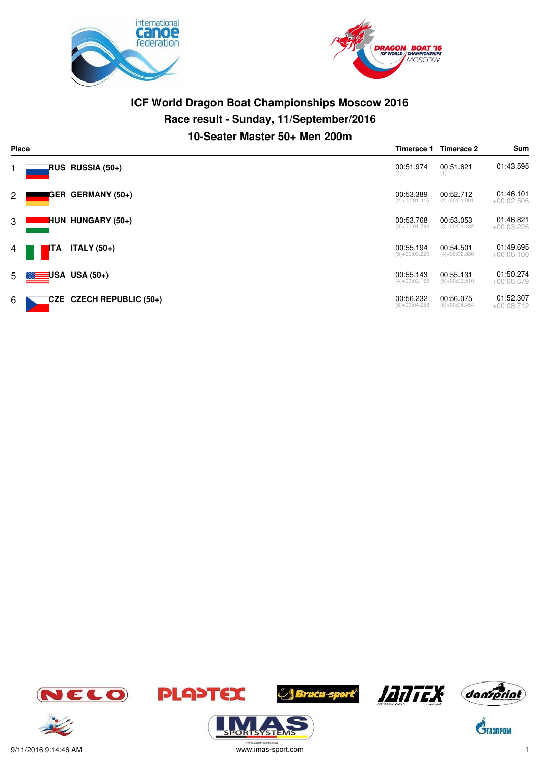



# **ICF World Dragon Boat Championships Moscow 2016 Race result - Sunday, 11/September/2016 10-Seater Master 50+ Men 200m**

| <b>Place</b>          |       |                            |                              | Timerace 2                   | Sum                       |
|-----------------------|-------|----------------------------|------------------------------|------------------------------|---------------------------|
|                       |       | RUS RUSSIA (50+)           | 00:51.974<br>(1)             | 00:51.621<br>(1)             | 01:43.595                 |
| $\mathbf{2}^{\prime}$ |       | <b>GER GERMANY (50+)</b>   | 00:53.389<br>$(2)+00:01.415$ | 00:52.712<br>$(2)+00:01.091$ | 01:46.101<br>$+00:02.506$ |
| 3                     |       | <b>HUN HUNGARY (50+)</b>   | 00:53.768<br>$(3)+00:01.794$ | 00:53.053<br>$(3)+00:01.432$ | 01:46.821<br>$+00:03.226$ |
| 4                     | ITA   | ITALY $(50+)$              | 00:55.194<br>$(5)+00:03.220$ | 00:54.501<br>$(4)+00:02.880$ | 01:49.695<br>$+00:06.100$ |
| 5 <sub>5</sub>        | ≣⊟USA | $USA(50+)$                 | 00:55.143<br>$(4)+00:03.169$ | 00:55.131<br>$(5)+00:03.510$ | 01:50.274<br>$+00:06.679$ |
| 6                     |       | CZE CZECH REPUBLIC $(50+)$ | 00:56.232<br>$(6)+00:04.258$ | 00:56.075<br>$(6)+00:04.454$ | 01:52.307<br>$+00:08.712$ |







.<br>syste







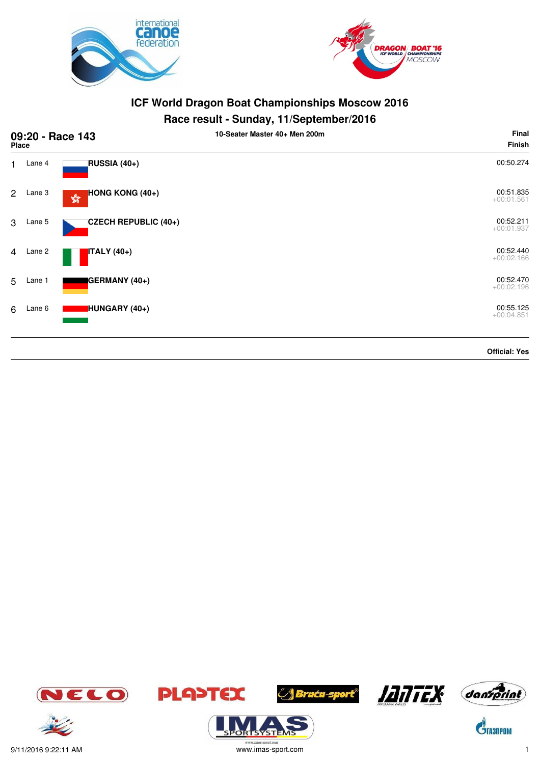



#### **Race result - Sunday, 11/September/2016**

|                | <b>Place</b> | 09:20 - Race 143                                          | . .<br>. .<br>10-Seater Master 40+ Men 200m | Final<br><b>Finish</b>    |
|----------------|--------------|-----------------------------------------------------------|---------------------------------------------|---------------------------|
| $\mathbf{1}$   | Lane 4       | RUSSIA (40+)                                              |                                             | 00:50.274                 |
| 2              | Lane 3       | HONG KONG (40+)<br>$\mathbb{S}^{\mathbb{C}}_{\mathbb{Q}}$ |                                             | 00:51.835<br>$+00:01.561$ |
| 3              | Lane 5       | <b>CZECH REPUBLIC (40+)</b>                               |                                             | 00:52.211<br>$+00:01.937$ |
| $\overline{4}$ | Lane 2       | <b>ITALY</b> (40+)                                        |                                             | 00:52.440<br>$+00:02.166$ |
| 5              | Lane 1       | GERMANY (40+)                                             |                                             | 00:52.470<br>$+00:02.196$ |
| 6              | Lane 6       | HUNGARY (40+)                                             |                                             | 00:55.125<br>$+00:04.851$ |
|                |              |                                                           |                                             |                           |

**Official: Yes**













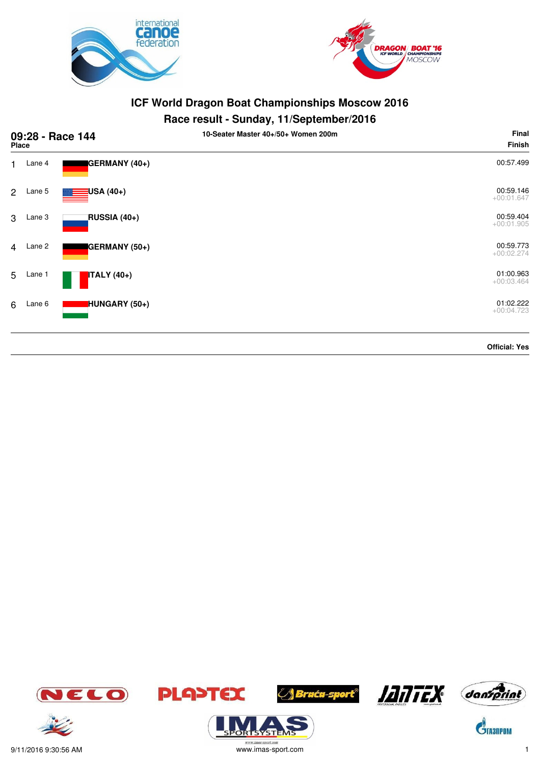



## **Race result - Sunday, 11/September/2016**

| 09:28 - Race 144<br><b>Place</b> |        |                    | 10-Seater Master 40+/50+ Women 200m | Final<br><b>Finish</b>    |
|----------------------------------|--------|--------------------|-------------------------------------|---------------------------|
| 1                                | Lane 4 | GERMANY (40+)      |                                     | 00:57.499                 |
| $\overline{2}$                   | Lane 5 | USA (40+)          |                                     | 00:59.146<br>$+00:01.647$ |
| 3                                | Lane 3 | RUSSIA (40+)       |                                     | 00:59.404<br>$+00:01.905$ |
| $\overline{4}$                   | Lane 2 | GERMANY (50+)      |                                     | 00:59.773<br>$+00:02.274$ |
| 5                                | Lane 1 | <b>ITALY</b> (40+) |                                     | 01:00.963<br>$+00:03.464$ |
| 6                                | Lane 6 | HUNGARY (50+)      |                                     | 01:02.222<br>$+00:04.723$ |
|                                  |        |                    |                                     | <b>Official: Yes</b>      |







ORTSYSTEMS







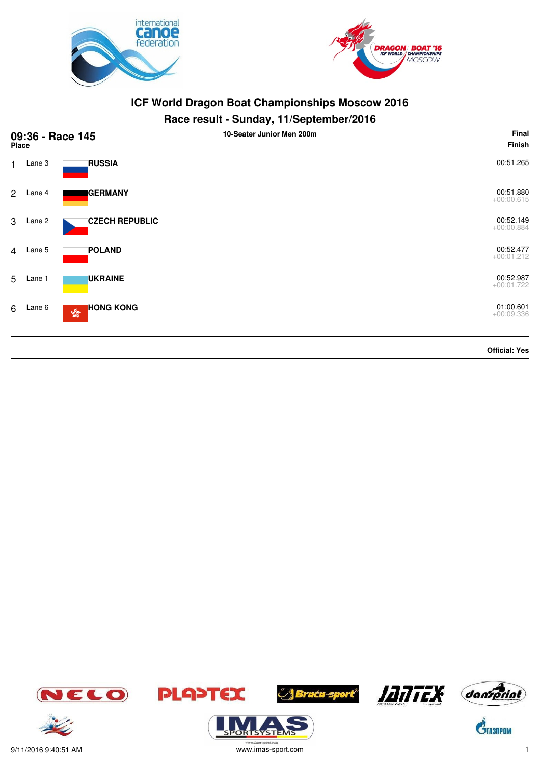



| 09:36 - Race 145<br>Place |        |                                                                             | 10-Seater Junior Men 200m | Final<br>Finish           |
|---------------------------|--------|-----------------------------------------------------------------------------|---------------------------|---------------------------|
| 1                         | Lane 3 | <b>RUSSIA</b>                                                               |                           | 00:51.265                 |
| $\overline{2}$            | Lane 4 | <b>GERMANY</b>                                                              |                           | 00:51.880<br>$+00:00.615$ |
| 3                         | Lane 2 | <b>CZECH REPUBLIC</b>                                                       |                           | 00:52.149<br>$+00:00.884$ |
| $\overline{4}$            | Lane 5 | <b>POLAND</b>                                                               |                           | 00:52.477<br>$+00:01.212$ |
| 5                         | Lane 1 | <b>UKRAINE</b>                                                              |                           | 00:52.987<br>$+00:01.722$ |
| 6                         | Lane 6 | <b>HONG KONG</b><br>$\mathcal{L}^{\mathcal{G}_\infty}_{\mathcal{G}_\infty}$ |                           | 01:00.601<br>$+00:09.336$ |
|                           |        |                                                                             |                           | <b>Official: Yes</b>      |













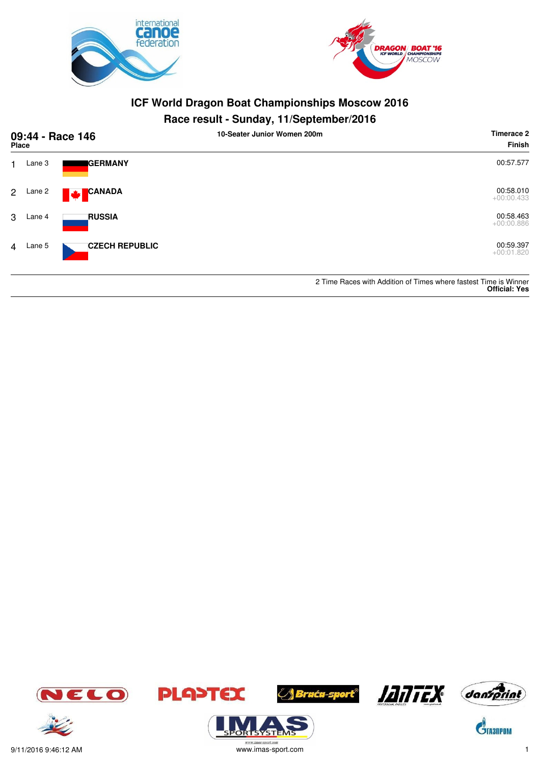



# **Race result - Sunday, 11/September/2016**

| 09:44 - Race 146<br>Place |          |                           | 10-Seater Junior Women 200m | Timerace 2<br><b>Finish</b>                                      |
|---------------------------|----------|---------------------------|-----------------------------|------------------------------------------------------------------|
|                           | Lane 3   | <b>I</b> GERMANY          |                             | 00:57.577                                                        |
|                           | 2 Lane 2 | <b>CANADA</b><br><b>W</b> |                             | 00:58.010<br>$+00:00.433$                                        |
| 3                         | Lane 4   | <b>RUSSIA</b>             |                             | 00:58.463<br>$+00:00.886$                                        |
|                           | 4 Lane 5 | <b>CZECH REPUBLIC</b>     |                             | 00:59.397<br>$+00:01.820$                                        |
|                           |          |                           |                             | 2 Time Races with Addition of Times where fastest Time is Winner |

**Official: Yes**





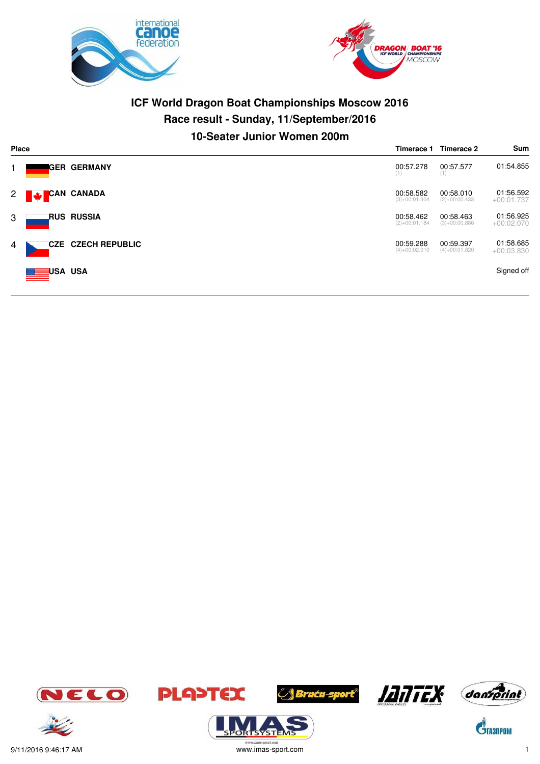



# **ICF World Dragon Boat Championships Moscow 2016 Race result - Sunday, 11/September/2016 10-Seater Junior Women 200m**

| Place    |            |                           | Timerace 1                   | Timerace 2                   | Sum                       |
|----------|------------|---------------------------|------------------------------|------------------------------|---------------------------|
| 1.       |            | IGER GERMANY              | 00:57.278<br>(1)             | 00:57.577<br>(1)             | 01:54.855                 |
| $2 \mid$ | CAN CANADA |                           | 00:58.582<br>$(3)+00:01.304$ | 00:58.010<br>$(2)+00:00.433$ | 01:56.592<br>$+00:01.737$ |
| 3        |            | <b>RUS RUSSIA</b>         | 00:58.462<br>$(2)+00:01.184$ | 00:58.463<br>$(3)+00:00.886$ | 01:56.925<br>$+00:02.070$ |
| 4        |            | <b>CZE CZECH REPUBLIC</b> | 00:59.288<br>$(4)+00:02.010$ | 00:59.397<br>$(4)+00:01.820$ | 01:58.685<br>$+00:03.830$ |
|          | USA USA    |                           |                              |                              | Signed off                |













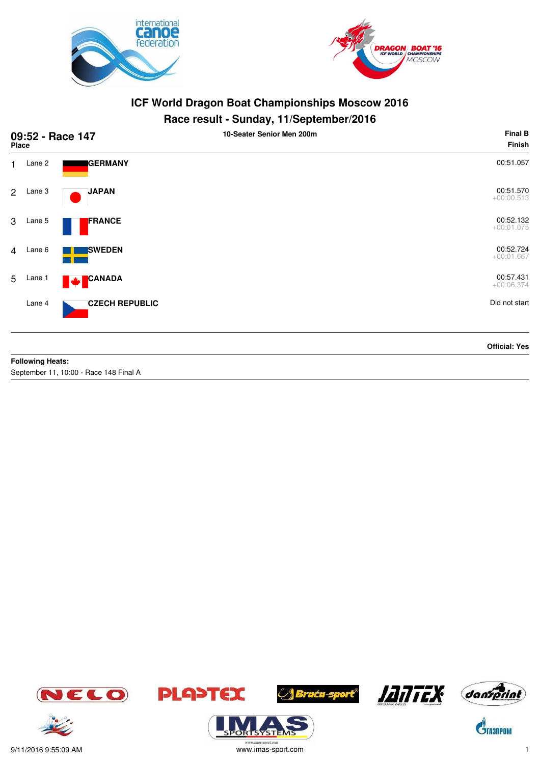



#### **Race result - Sunday, 11/September/2016**

| 09:52 - Race 147<br>Place |        |                       | . .<br>10-Seater Senior Men 200m | <b>Final B</b><br><b>Finish</b> |
|---------------------------|--------|-----------------------|----------------------------------|---------------------------------|
| 1                         | Lane 2 | <b>GERMANY</b>        |                                  | 00:51.057                       |
| $\overline{2}$            | Lane 3 | <b>JAPAN</b>          |                                  | 00:51.570<br>$+00:00.513$       |
| 3                         | Lane 5 | FRANCE                |                                  | 00:52.132<br>$+00:01.075$       |
| $\overline{4}$            | Lane 6 | <b>SWEDEN</b>         |                                  | 00:52.724<br>$+00:01.667$       |
| 5                         | Lane 1 | CANADA<br><b>M</b>    |                                  | 00:57.431<br>$+00:06.374$       |
|                           | Lane 4 | <b>CZECH REPUBLIC</b> |                                  | Did not start                   |
|                           |        |                       |                                  | <b>Official: Yes</b>            |

#### **Following Heats:**

September 11, 10:00 - Race 148 Final A















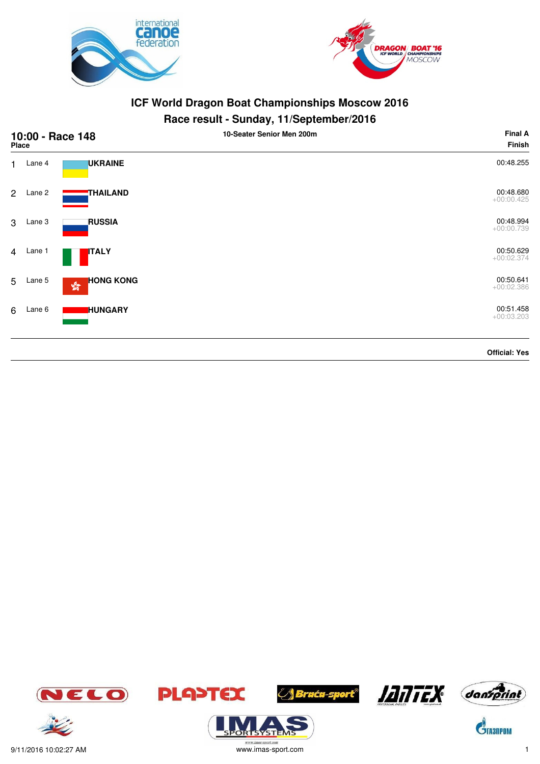



# **Race result - Sunday, 11/September/2016**

| 10:00 - Race 148<br>Place |        |                                                            | 10-Seater Senior Men 200m | <b>Final A</b><br>Finish  |
|---------------------------|--------|------------------------------------------------------------|---------------------------|---------------------------|
| 1                         | Lane 4 | <b>UKRAINE</b>                                             |                           | 00:48.255                 |
| $2^{\circ}$               | Lane 2 | <b>THAILAND</b>                                            |                           | 00:48.680<br>$+00:00.425$ |
| 3 <sup>1</sup>            | Lane 3 | <b>RUSSIA</b>                                              |                           | 00:48.994<br>$+00:00.739$ |
| $\overline{4}$            | Lane 1 | <b>ITALY</b>                                               |                           | 00:50.629<br>$+00:02.374$ |
| 5                         | Lane 5 | <b>HONG KONG</b><br>$\mathbf{S}^{\mathbf{G}}_{\mathbf{G}}$ |                           | 00:50.641<br>$+00:02.386$ |
| 6                         | Lane 6 | <b>HUNGARY</b>                                             |                           | 00:51.458<br>$+00:03.203$ |
|                           |        |                                                            |                           | <b>Official: Yes</b>      |

JELO











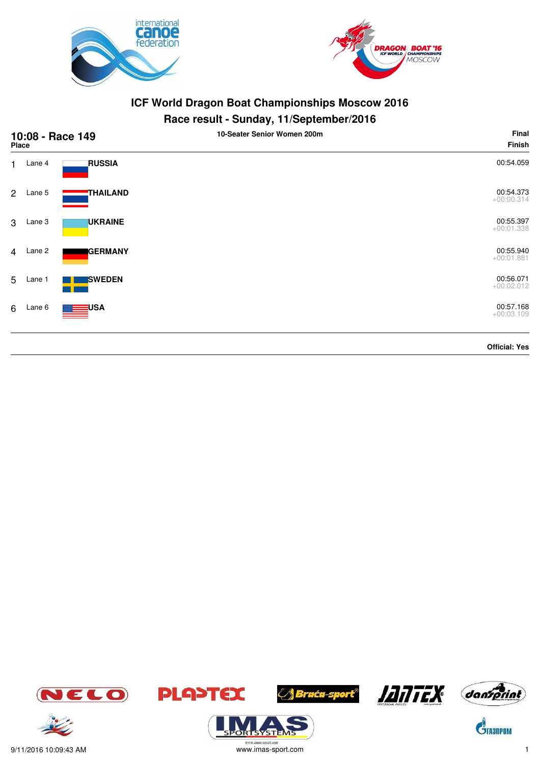



| 10:08 - Race 149<br><b>Place</b> |        |                    | - -<br>10-Seater Senior Women 200m | Final<br>Finish           |
|----------------------------------|--------|--------------------|------------------------------------|---------------------------|
| 1                                | Lane 4 | <b>RUSSIA</b>      |                                    | 00:54.059                 |
| $\overline{2}$                   | Lane 5 | THAILAND           |                                    | 00:54.373<br>$+00:00.314$ |
| 3                                | Lane 3 | <b>UKRAINE</b>     |                                    | 00:55.397<br>$+00:01.338$ |
| $\overline{4}$                   | Lane 2 | <b>GERMANY</b>     |                                    | 00:55.940<br>$+00:01.881$ |
| 5                                | Lane 1 | <b>SWEDEN</b>      |                                    | 00:56.071<br>$+00:02.012$ |
| 6                                | Lane 6 | <mark>∃</mark> USA |                                    | 00:57.168<br>$+00:03.109$ |
|                                  |        |                    |                                    | <b>Official: Yes</b>      |

















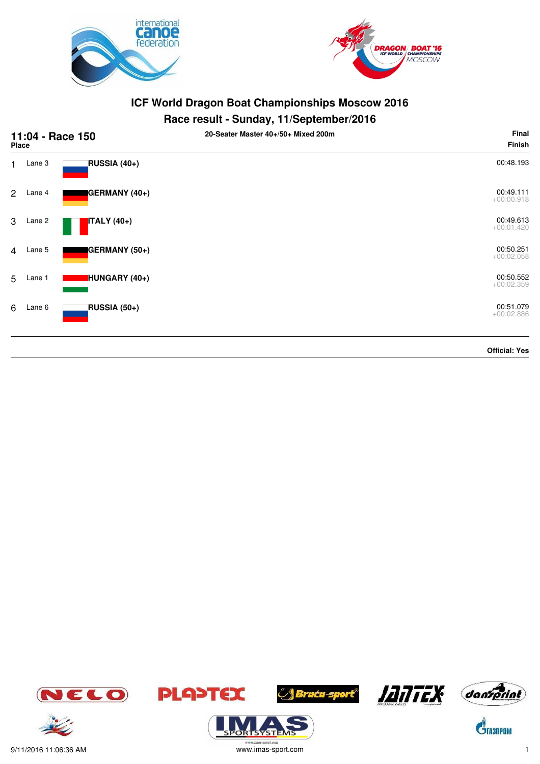



# **Race result - Sunday, 11/September/2016**

| 11:04 - Race 150<br>Place |        |                    | 20-Seater Master 40+/50+ Mixed 200m | Final<br>Finish           |
|---------------------------|--------|--------------------|-------------------------------------|---------------------------|
| 1                         | Lane 3 | RUSSIA (40+)       |                                     | 00:48.193                 |
| $\overline{2}$            | Lane 4 | GERMANY (40+)      |                                     | 00:49.111<br>$+00:00.918$ |
| 3                         | Lane 2 | <b>ITALY</b> (40+) |                                     | 00:49.613<br>$+00:01.420$ |
| $\overline{4}$            | Lane 5 | GERMANY (50+)      |                                     | 00:50.251<br>$+00:02.058$ |
| 5                         | Lane 1 | HUNGARY (40+)      |                                     | 00:50.552<br>$+00:02.359$ |
| 6                         | Lane 6 | RUSSIA (50+)       |                                     | 00:51.079<br>$+00:02.886$ |
|                           |        |                    |                                     | <b>Official: Yes</b>      |













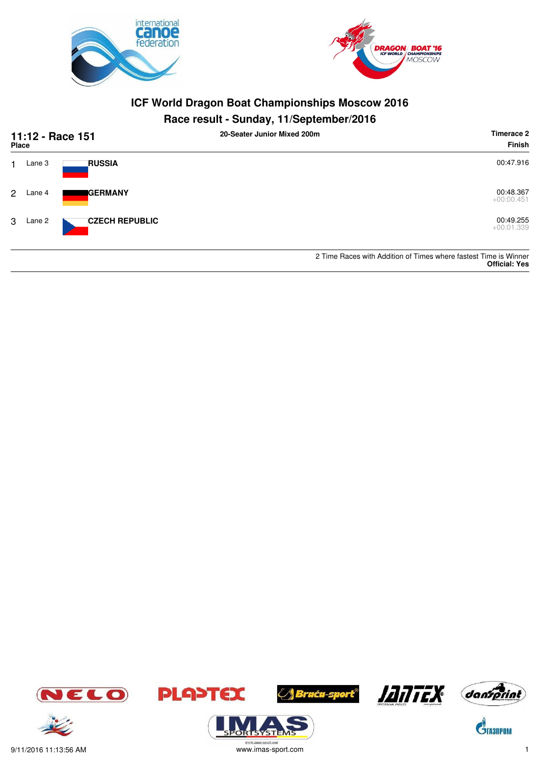



| 11:12 - Race 151<br><b>Place</b> |        |                       | 20-Seater Junior Mixed 200m | Timerace 2<br><b>Finish</b>                                                              |
|----------------------------------|--------|-----------------------|-----------------------------|------------------------------------------------------------------------------------------|
|                                  | Lane 3 | <b>RUSSIA</b>         |                             | 00:47.916                                                                                |
| 2                                | Lane 4 | <b>I</b> GERMANY      |                             | 00:48.367<br>$+00:00.451$                                                                |
| 3                                | Lane 2 | <b>CZECH REPUBLIC</b> |                             | 00:49.255<br>$+00:01.339$                                                                |
|                                  |        |                       |                             | 2 Time Races with Addition of Times where fastest Time is Winner<br><b>Official: Yes</b> |





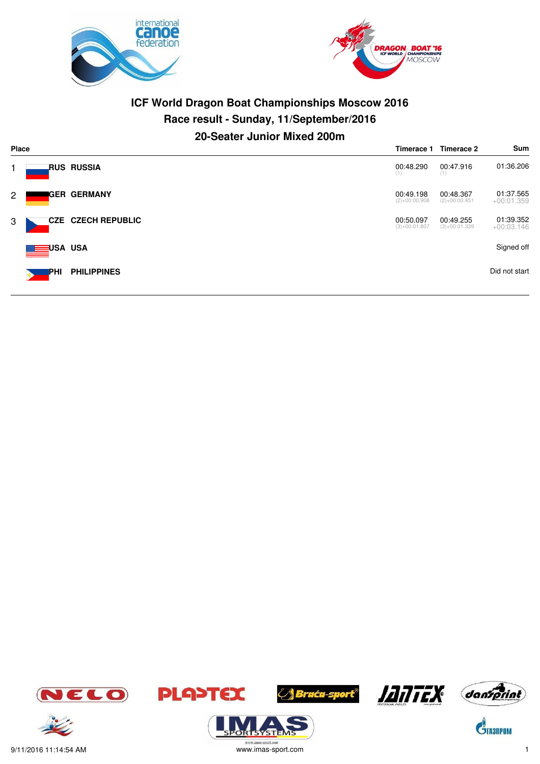



# **ICF World Dragon Boat Championships Moscow 2016 Race result - Sunday, 11/September/2016 20-Seater Junior Mixed 200m**

| <b>Place</b> | Timerace 1          |                           |                              | Timerace 2                   | Sum                       |
|--------------|---------------------|---------------------------|------------------------------|------------------------------|---------------------------|
|              |                     | <b>RUS RUSSIA</b>         | 00:48.290<br>(1)             | 00:47.916<br>(1)             | 01:36.206                 |
| $2^{\circ}$  |                     | IGER GERMANY              | 00:49.198<br>$(2)+00:00.908$ | 00:48.367<br>$(2)+00:00.451$ | 01:37.565<br>$+00:01.359$ |
| 3            |                     | <b>CZE CZECH REPUBLIC</b> | 00:50.097<br>$(3)+00:01.807$ | 00:49.255<br>$(3)+00:01.339$ | 01:39.352<br>$+00:03.146$ |
|              | <b>EINE USA</b> USA |                           |                              |                              | Signed off                |
|              | PHI                 | <b>PHILIPPINES</b>        |                              |                              | Did not start             |

















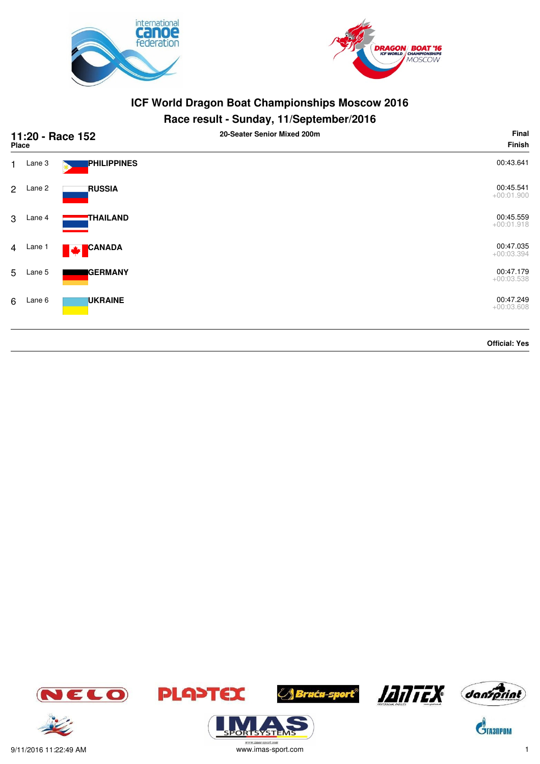



#### **Race result - Sunday, 11/September/2016**

| 11:20 - Race 152<br><b>Place</b> |        |                           | 20-Seater Senior Mixed 200m | Final<br>Finish           |
|----------------------------------|--------|---------------------------|-----------------------------|---------------------------|
| $\mathbf{1}$                     | Lane 3 | PHILIPPINES               |                             | 00:43.641                 |
| $\overline{2}$                   | Lane 2 | <b>RUSSIA</b>             |                             | 00:45.541<br>$+00:01.900$ |
| 3                                | Lane 4 | THAILAND                  |                             | 00:45.559<br>$+00:01.918$ |
| $\overline{4}$                   | Lane 1 | <b>CANADA</b><br><b>W</b> |                             | 00:47.035<br>$+00:03.394$ |
| 5                                | Lane 5 | <b>GERMANY</b>            |                             | 00:47.179<br>$+00:03.538$ |
| 6                                | Lane 6 | <b>UKRAINE</b>            |                             | 00:47.249<br>$+00:03.608$ |
|                                  |        |                           |                             | <b>Official: Yes</b>      |







ORTSYSTER







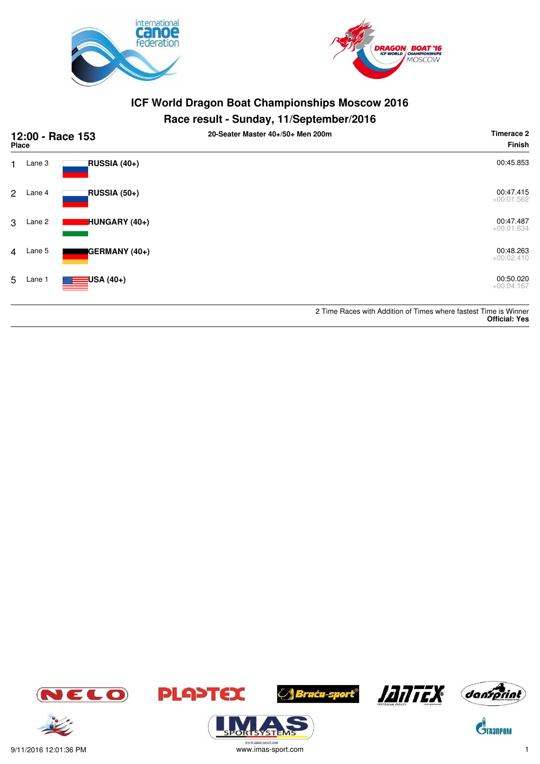



#### **Race result - Sunday, 11/September/2016**

| 12:00 - Race 153<br>Place |        |                          | ,,<br>. .<br>20-Seater Master 40+/50+ Men 200m | Timerace 2<br><b>Finish</b>                                                              |
|---------------------------|--------|--------------------------|------------------------------------------------|------------------------------------------------------------------------------------------|
| 1                         | Lane 3 | RUSSIA (40+)             |                                                | 00:45.853                                                                                |
| $\overline{2}$            | Lane 4 | <b>RUSSIA (50+)</b>      |                                                | 00:47.415<br>$+00:01.562$                                                                |
| 3                         | Lane 2 | HUNGARY (40+)            |                                                | 00:47.487<br>$+00:01.634$                                                                |
| $\overline{4}$            | Lane 5 | GERMANY (40+)            |                                                | 00:48.263<br>$+00:02.410$                                                                |
| 5                         | Lane 1 | <mark>:</mark> USA (40+) |                                                | 00:50.020<br>$+00:04.167$                                                                |
|                           |        |                          |                                                | 2 Time Races with Addition of Times where fastest Time is Winner<br><b>Official: Yes</b> |











**ORTSYSTER** 





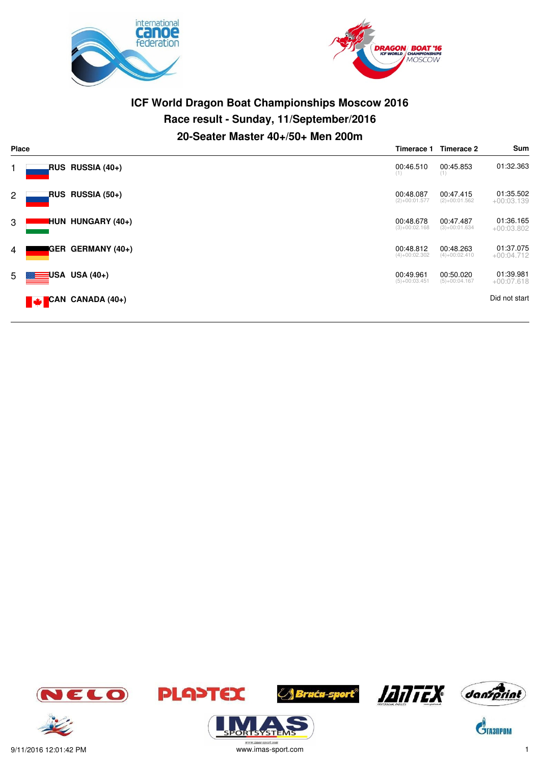



# **ICF World Dragon Boat Championships Moscow 2016 Race result - Sunday, 11/September/2016 20-Seater Master 40+/50+ Men 200m**

| Place          |              |                                       |                              | Timerace 2                   | Sum                       |
|----------------|--------------|---------------------------------------|------------------------------|------------------------------|---------------------------|
|                |              | RUS RUSSIA (40+)                      | 00:46.510<br>(1)             | 00:45.853<br>(1)             | 01:32.363                 |
| $\overline{2}$ |              | RUS RUSSIA (50+)                      | 00:48.087<br>$(2)+00:01.577$ | 00:47.415<br>$(2)+00:01.562$ | 01:35.502<br>$+00:03.139$ |
| 3              |              | <b>HUN HUNGARY (40+)</b>              | 00:48.678<br>$(3)+00:02.168$ | 00:47.487<br>$(3)+00:01.634$ | 01:36.165<br>$+00:03.802$ |
| 4              |              | <b>IGER GERMANY (40+)</b>             | 00:48.812<br>$(4)+00:02.302$ | 00:48.263<br>$(4)+00:02.410$ | 01:37.075<br>$+00:04.712$ |
| 5 <sub>5</sub> | <b>E⊟USA</b> | USA (40+)                             | 00:49.961<br>$(5)+00:03.451$ | 00:50.020<br>$(5)+00:04.167$ | 01:39.981<br>$+00:07.618$ |
|                |              | $\blacktriangledown$ CAN CANADA (40+) |                              |                              | Did not start             |

















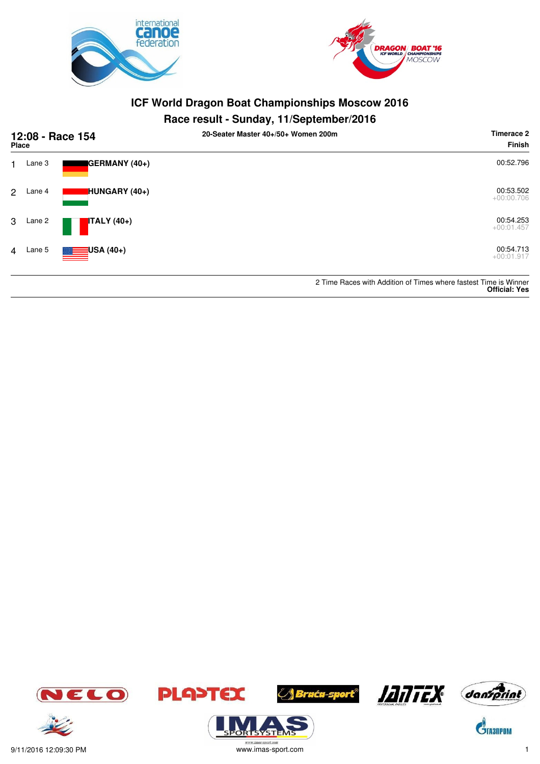



| 12:08 - Race 154<br><b>Place</b> |        |                    | 20-Seater Master 40+/50+ Women 200m | Timerace 2<br>Finish                                                                     |
|----------------------------------|--------|--------------------|-------------------------------------|------------------------------------------------------------------------------------------|
| 1.                               | Lane 3 | GERMANY (40+)      |                                     | 00:52.796                                                                                |
| 2                                | Lane 4 | HUNGARY (40+)      |                                     | 00:53.502<br>$+00:00.706$                                                                |
| 3                                | Lane 2 | <b>ITALY</b> (40+) |                                     | 00:54.253<br>$+00:01.457$                                                                |
| 4                                | Lane 5 | $\equiv$ USA (40+) |                                     | 00:54.713<br>$+00:01.917$                                                                |
|                                  |        |                    |                                     | 2 Time Races with Addition of Times where fastest Time is Winner<br><b>Official: Yes</b> |





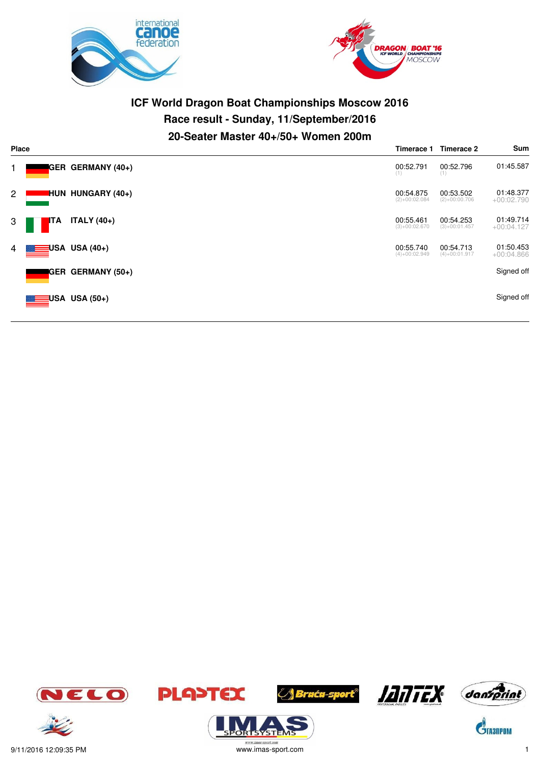



# **ICF World Dragon Boat Championships Moscow 2016 Race result - Sunday, 11/September/2016 20-Seater Master 40+/50+ Women 200m**

| <b>Place</b>   |     | Timerace 1               | Timerace 2                   | Sum                          |                           |
|----------------|-----|--------------------------|------------------------------|------------------------------|---------------------------|
|                |     | <b>GER GERMANY (40+)</b> | 00:52.791<br>(1)             | 00:52.796<br>(1)             | 01:45.587                 |
| $\overline{2}$ |     | <b>HUN HUNGARY (40+)</b> | 00:54.875<br>$(2)+00:02.084$ | 00:53.502<br>$(2)+00:00.706$ | 01:48.377<br>$+00:02.790$ |
| 3              | ITA | <b>ITALY</b> (40+)       | 00:55.461<br>$(3)+00:02.670$ | 00:54.253<br>$(3)+00:01.457$ | 01:49.714<br>$+00:04.127$ |
| 4              |     | USA USA (40+)            | 00:55.740<br>$(4)+00:02.949$ | 00:54.713<br>$(4)+00:01.917$ | 01:50.453<br>$+00:04.866$ |
|                |     | <b>GER GERMANY (50+)</b> |                              |                              | Signed off                |
|                |     | USA USA (50+)            |                              |                              | Signed off                |









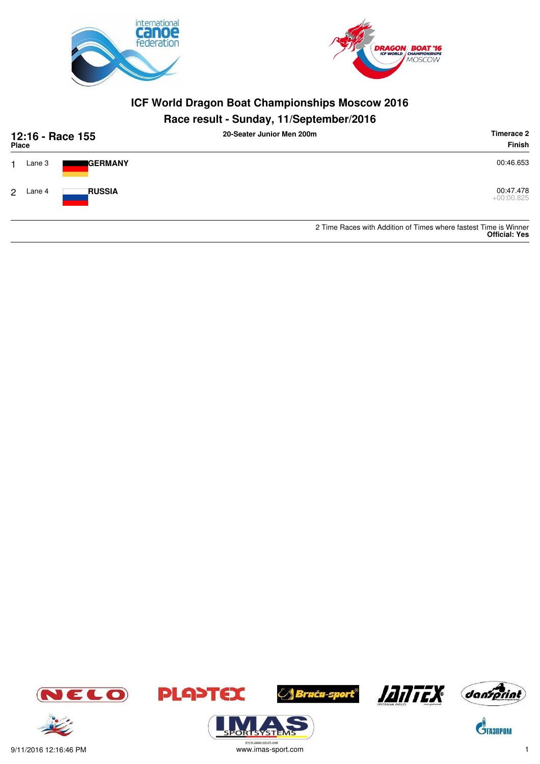



## **Race result - Sunday, 11/September/2016**

| 12:16 - Race 155<br>Place |        |                  | 20-Seater Junior Men 200m | Timerace 2<br><b>Finish</b>                                     |  |
|---------------------------|--------|------------------|---------------------------|-----------------------------------------------------------------|--|
|                           | Lane 3 | <b>I</b> GERMANY |                           | 00:46.653                                                       |  |
| 2                         | Lane 4 | <b>RUSSIA</b>    |                           | 00:47.478<br>$+00:00.825$                                       |  |
|                           |        |                  |                           | 2 Time Paces with Addition of Times where factor Time is Winner |  |

2 Time Races with Addition of Times where fastest **Official: Yes**



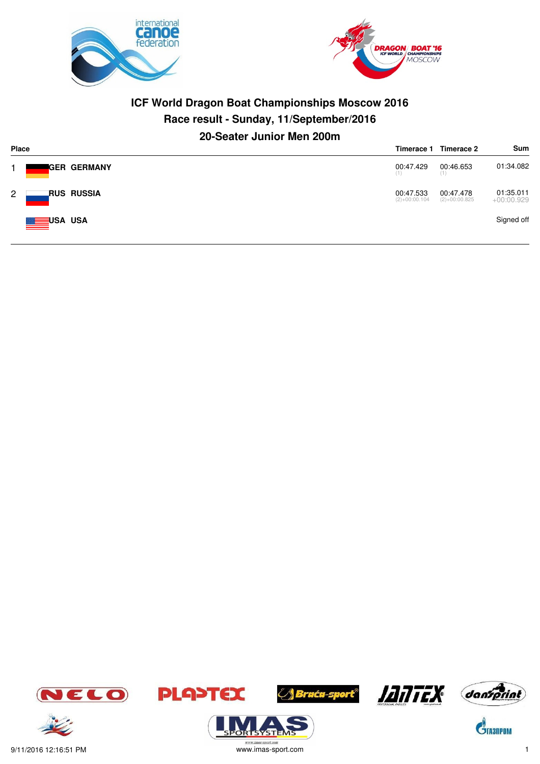



## **ICF World Dragon Boat Championships Moscow 2016 Race result - Sunday, 11/September/2016 20-Seater Junior Men 200m**

| <b>Place</b> |                      |                              | Timerace 2<br>Timerace 1     | Sum                       |
|--------------|----------------------|------------------------------|------------------------------|---------------------------|
|              | <b>I</b> GER GERMANY | 00:47.429<br>(1)             | 00:46.653<br>(1)             | 01:34.082                 |
| $\mathbf{2}$ | RUS RUSSIA           | 00:47.533<br>$(2)+00:00.104$ | 00:47.478<br>$(2)+00:00.825$ | 01:35.011<br>$+00:00.929$ |
|              | USA USA              |                              |                              | Signed off                |



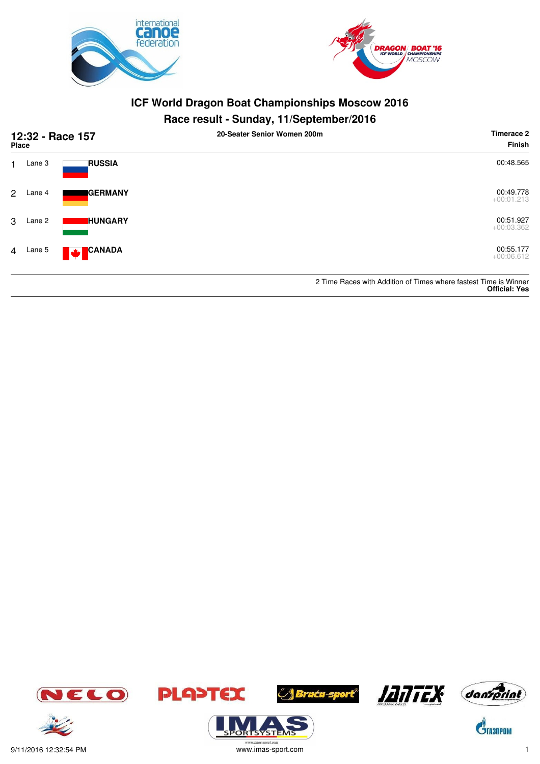



| 12:32 - Race 157<br><b>Place</b> |          |                         | 20-Seater Senior Women 200m | Timerace 2<br>Finish                                                                     |  |
|----------------------------------|----------|-------------------------|-----------------------------|------------------------------------------------------------------------------------------|--|
|                                  | Lane 3   | <b>RUSSIA</b>           |                             | 00:48.565                                                                                |  |
| 2                                | Lane 4   | <b>I</b> GERMANY        |                             | 00:49.778<br>$+00:01.213$                                                                |  |
| 3                                | Lane 2   | <b>HUNGARY</b>          |                             | 00:51.927<br>$+00:03.362$                                                                |  |
|                                  | 4 Lane 5 | <b>CANADA</b><br>A 24 F |                             | 00:55.177<br>$+00:06.612$                                                                |  |
|                                  |          |                         |                             | 2 Time Races with Addition of Times where fastest Time is Winner<br><b>Official: Yes</b> |  |





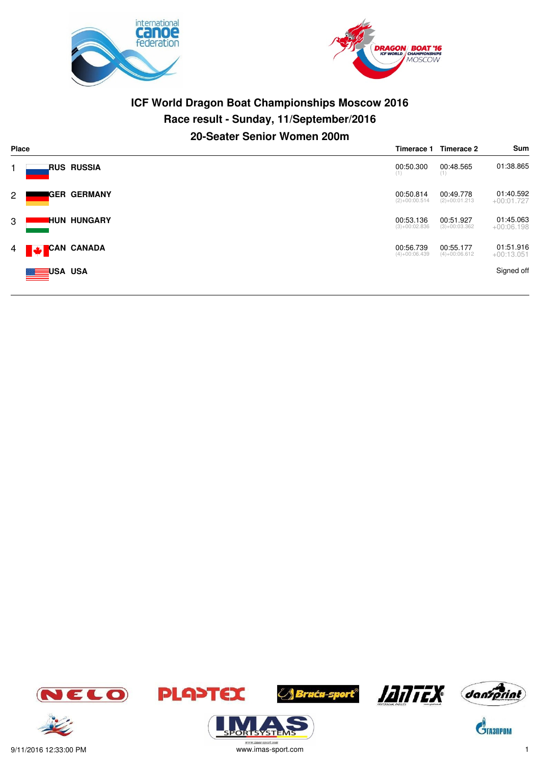



# **ICF World Dragon Boat Championships Moscow 2016 Race result - Sunday, 11/September/2016 20-Seater Senior Women 200m**

| <b>Place</b> |                        |                              | Timerace 2                   | Sum                       |
|--------------|------------------------|------------------------------|------------------------------|---------------------------|
|              | RUS RUSSIA.            | 00:50.300<br>(1)             | 00:48.565<br>(1)             | 01:38.865                 |
| 2            | <b>IGER GERMANY</b>    | 00:50.814<br>$(2)+00:00.514$ | 00:49.778<br>$(2)+00:01.213$ | 01:40.592<br>$+00:01.727$ |
| 3            | <b>HUN HUNGARY</b>     | 00:53.136<br>$(3)+00:02.836$ | 00:51.927<br>$(3)+00:03.362$ | 01:45.063<br>$+00:06.198$ |
| $4 \Box$     | <b>CAN CANADA</b><br>Ø | 00:56.739<br>$(4)+00:06.439$ | 00:55.177<br>$(4)+00:06.612$ | 01:51.916<br>$+00:13.051$ |
|              | <b>MEDIUSA USA</b>     |                              |                              | Signed off                |